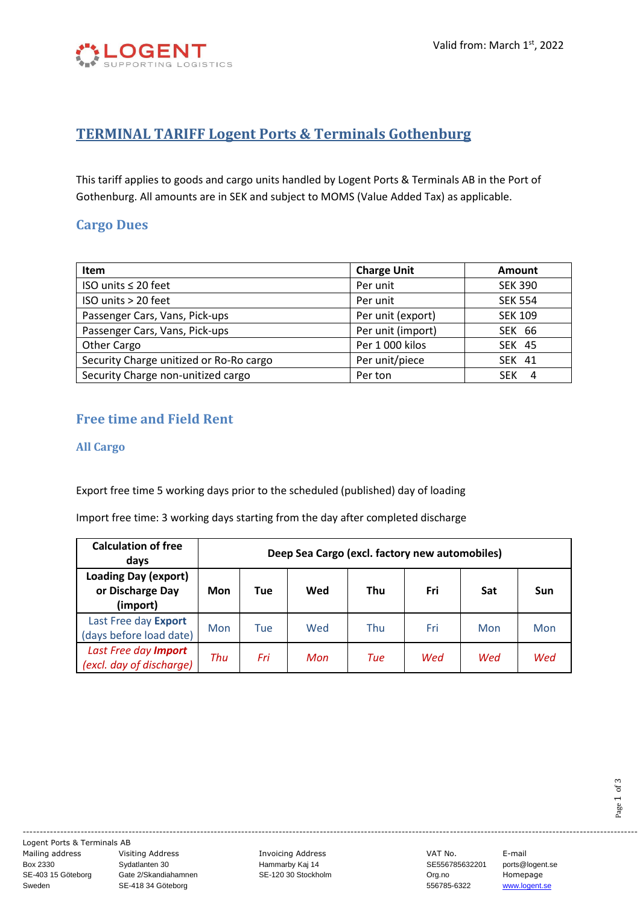

# **TERMINAL TARIFF Logent Ports & Terminals Gothenburg**

This tariff applies to goods and cargo units handled by Logent Ports & Terminals AB in the Port of Gothenburg. All amounts are in SEK and subject to MOMS (Value Added Tax) as applicable.

### **Cargo Dues**

| <b>Item</b>                             | <b>Charge Unit</b> | Amount          |
|-----------------------------------------|--------------------|-----------------|
| ISO units $\leq 20$ feet                | Per unit           | <b>SEK 390</b>  |
| ISO units > 20 feet                     | Per unit           | <b>SEK 554</b>  |
| Passenger Cars, Vans, Pick-ups          | Per unit (export)  | <b>SEK 109</b>  |
| Passenger Cars, Vans, Pick-ups          | Per unit (import)  | <b>SEK 66</b>   |
| Other Cargo                             | Per 1 000 kilos    | <b>SEK 45</b>   |
| Security Charge unitized or Ro-Ro cargo | Per unit/piece     | <b>SEK 41</b>   |
| Security Charge non-unitized cargo      | Per ton            | <b>SEK</b><br>4 |

# **Free time and Field Rent**

#### **All Cargo**

Export free time 5 working days prior to the scheduled (published) day of loading

Import free time: 3 working days starting from the day after completed discharge

| <b>Calculation of free</b><br>days                          | Deep Sea Cargo (excl. factory new automobiles) |     |     |            |     |     |     |
|-------------------------------------------------------------|------------------------------------------------|-----|-----|------------|-----|-----|-----|
| <b>Loading Day (export)</b><br>or Discharge Day<br>(import) | Mon                                            | Tue | Wed | <b>Thu</b> | Fri | Sat | Sun |
| Last Free day Export<br>(days before load date)             | Mon                                            | Tue | Wed | Thu        | Fri | Mon | Mon |
| Last Free day Import<br>(excl. day of discharge)            | Thu                                            | Fri | Mon | Tue        | Wed | Wed | Wed |

------------------------------------------------------------------------------------------------------------------------------------------------------------------------------------ Logent Ports & Terminals AB

Mailing address Visiting Address Invoicing Address VAT No. E-mail Box 2330 Sydatlanten 30 Hammarby Kaj 14 SE556785632201 ports@logent.se SE-403 15 Göteborg Gate 2/Skandiahamnen SE-120 30 Stockholm Corg.no Crg.no Stockholm Sweden SE-418 34 Göteborg SE-403 15 Göteborg Gate 2/Skandiahamnen SE-120 30 Stockholm Steeden Steeden Steeden Steeden SE-418 34 Göteborg<br>Sweden SE-418 34 Göteborg SE-120 30 Stockholm Steeden S56785-6322 [www.logent.se](http://www.logent.se/)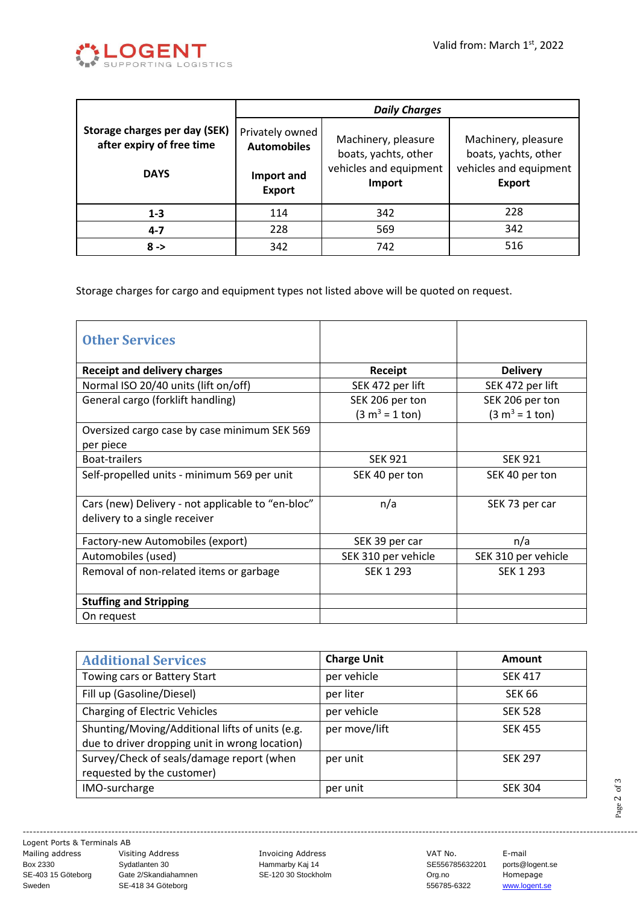

|                                                            | <b>Daily Charges</b>                  |                                             |                                             |  |
|------------------------------------------------------------|---------------------------------------|---------------------------------------------|---------------------------------------------|--|
| Storage charges per day (SEK)<br>after expiry of free time | Privately owned<br><b>Automobiles</b> | Machinery, pleasure<br>boats, yachts, other | Machinery, pleasure<br>boats, yachts, other |  |
| <b>DAYS</b>                                                | Import and<br><b>Export</b>           | vehicles and equipment<br>Import            | vehicles and equipment<br><b>Export</b>     |  |
| $1 - 3$                                                    | 114                                   | 342                                         | 228                                         |  |
| $4 - 7$                                                    | 228                                   | 569                                         | 342                                         |  |
| $8 - >$                                                    | 342                                   | 742                                         | 516                                         |  |

Storage charges for cargo and equipment types not listed above will be quoted on request.

| <b>Other Services</b>                                                              |                     |                     |
|------------------------------------------------------------------------------------|---------------------|---------------------|
| <b>Receipt and delivery charges</b>                                                | Receipt             | <b>Delivery</b>     |
| Normal ISO 20/40 units (lift on/off)                                               | SEK 472 per lift    | SEK 472 per lift    |
| General cargo (forklift handling)                                                  | SEK 206 per ton     | SEK 206 per ton     |
|                                                                                    | $(3 m3 = 1 ton)$    | $(3 m3 = 1 ton)$    |
| Oversized cargo case by case minimum SEK 569                                       |                     |                     |
| per piece                                                                          |                     |                     |
| <b>Boat-trailers</b>                                                               | <b>SEK 921</b>      | <b>SEK 921</b>      |
| Self-propelled units - minimum 569 per unit                                        | SEK 40 per ton      | SEK 40 per ton      |
| Cars (new) Delivery - not applicable to "en-bloc"<br>delivery to a single receiver | n/a                 | SEK 73 per car      |
| Factory-new Automobiles (export)                                                   | SEK 39 per car      | n/a                 |
| Automobiles (used)                                                                 | SEK 310 per vehicle | SEK 310 per vehicle |
| Removal of non-related items or garbage                                            | <b>SEK 1 293</b>    | SEK 1 293           |
| <b>Stuffing and Stripping</b>                                                      |                     |                     |
| On request                                                                         |                     |                     |

| <b>Additional Services</b>                                                                        | <b>Charge Unit</b> | <b>Amount</b>  |
|---------------------------------------------------------------------------------------------------|--------------------|----------------|
| Towing cars or Battery Start                                                                      | per vehicle        | <b>SEK 417</b> |
| Fill up (Gasoline/Diesel)                                                                         | per liter          | <b>SEK 66</b>  |
| <b>Charging of Electric Vehicles</b>                                                              | per vehicle        | <b>SEK 528</b> |
| Shunting/Moving/Additional lifts of units (e.g.<br>due to driver dropping unit in wrong location) | per move/lift      | <b>SEK 455</b> |
| Survey/Check of seals/damage report (when                                                         | per unit           | <b>SEK 297</b> |
| requested by the customer)                                                                        |                    |                |
| IMO-surcharge                                                                                     | per unit           | <b>SEK 304</b> |

------------------------------------------------------------------------------------------------------------------------------------------------------------------------------------ Logent Ports & Terminals AB

Mailing address Visiting Address Chronicing Address Invoicing Address Communist Communist Communist Communist<br>Box 2330 Sydatlanten 30 Hammarby Kaj 14 SE556785632201 ports@l Box 2330 Sydatlanten 30 Hammarby Kaj 14 SE556785632201 ports@logent.se SE-403 15 Göteborg Gate 2/Skandiahamnen SE-120 30 Stockholm Org.no Crg.no Homepage<br>Sweden SE-418 34 Göteborg SE-120 30 Stockholm 556785-6322 www.logent. Sweden SE-418 34 Göteborg SE-418 34 Göteborg Superversition States States States States States States States States States States States States States States States States States States States States States States States S